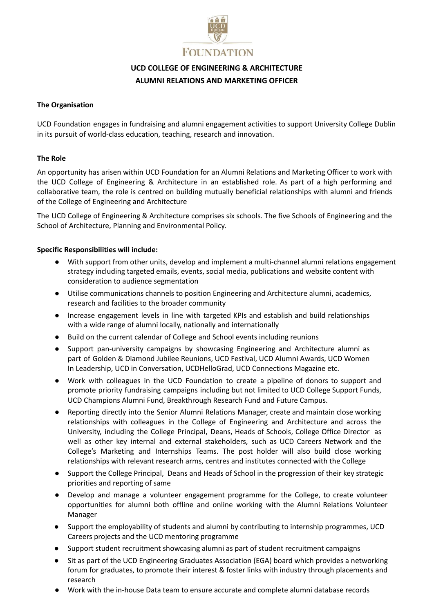

# **UCD COLLEGE OF ENGINEERING & ARCHITECTURE ALUMNI RELATIONS AND MARKETING OFFICER**

## **The Organisation**

UCD Foundation engages in fundraising and alumni engagement activities to support University College Dublin in its pursuit of world-class education, teaching, research and innovation.

# **The Role**

An opportunity has arisen within UCD Foundation for an Alumni Relations and Marketing Officer to work with the UCD College of Engineering & Architecture in an established role. As part of a high performing and collaborative team, the role is centred on building mutually beneficial relationships with alumni and friends of the College of Engineering and Architecture

The UCD College of Engineering & Architecture comprises six schools. The five Schools of Engineering and the School of Architecture, Planning and Environmental Policy.

## **Specific Responsibilities will include:**

- With support from other units, develop and implement a multi-channel alumni relations engagement strategy including targeted emails, events, social media, publications and website content with consideration to audience segmentation
- Utilise communications channels to position Engineering and Architecture alumni, academics, research and facilities to the broader community
- Increase engagement levels in line with targeted KPIs and establish and build relationships with a wide range of alumni locally, nationally and internationally
- Build on the current calendar of College and School events including reunions
- Support pan-university campaigns by showcasing Engineering and Architecture alumni as part of Golden & Diamond Jubilee Reunions, UCD Festival, UCD Alumni Awards, UCD Women In Leadership, UCD in Conversation, UCDHelloGrad, UCD Connections Magazine etc.
- Work with colleagues in the UCD Foundation to create a pipeline of donors to support and promote priority fundraising campaigns including but not limited to UCD College Support Funds, UCD Champions Alumni Fund, Breakthrough Research Fund and Future Campus.
- Reporting directly into the Senior Alumni Relations Manager, create and maintain close working relationships with colleagues in the College of Engineering and Architecture and across the University, including the College Principal, Deans, Heads of Schools, College Office Director as well as other key internal and external stakeholders, such as UCD Careers Network and the College's Marketing and Internships Teams. The post holder will also build close working relationships with relevant research arms, centres and institutes connected with the College
- Support the College Principal, Deans and Heads of School in the progression of their key strategic priorities and reporting of same
- Develop and manage a volunteer engagement programme for the College, to create volunteer opportunities for alumni both offline and online working with the Alumni Relations Volunteer Manager
- Support the employability of students and alumni by contributing to internship programmes, UCD Careers projects and the UCD mentoring programme
- Support student recruitment showcasing alumni as part of student recruitment campaigns
- Sit as part of the UCD Engineering Graduates Association (EGA) board which provides a networking forum for graduates, to promote their interest & foster links with industry through placements and research
- Work with the in-house Data team to ensure accurate and complete alumni database records